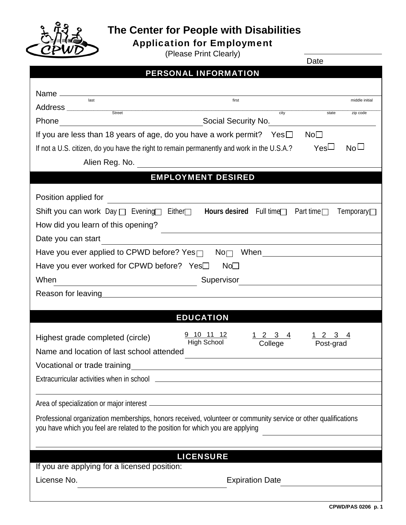

## **The Center for People with Disabilities**

Application for Employment (Please Print Clearly)

Date

|                                                                                                                | Date                                                        |  |  |
|----------------------------------------------------------------------------------------------------------------|-------------------------------------------------------------|--|--|
| <b>PERSONAL INFORMATION</b>                                                                                    |                                                             |  |  |
|                                                                                                                |                                                             |  |  |
| last                                                                                                           | first<br>middle initial                                     |  |  |
| Address <u>street and the street</u>                                                                           | city<br>state<br>zip code                                   |  |  |
|                                                                                                                |                                                             |  |  |
| If you are less than 18 years of age, do you have a work permit? Yes $\square$                                 | No <sub>1</sub>                                             |  |  |
| If not a U.S. citizen, do you have the right to remain permanently and work in the U.S.A.?                     | $Yes\Box$<br>No <sub>1</sub>                                |  |  |
|                                                                                                                |                                                             |  |  |
| <b>EMPLOYMENT DESIRED</b>                                                                                      |                                                             |  |  |
|                                                                                                                |                                                             |  |  |
| Position applied for                                                                                           |                                                             |  |  |
| Shift you can work $Day \Box$ Evening Either $\Box$                                                            | Hours desired Full time<br>Part time $\Box$<br>Temporary    |  |  |
| How did you learn of this opening?                                                                             | <u> 1989 - Johann Stoff, amerikansk politiker (d. 1989)</u> |  |  |
| Date you can start                                                                                             |                                                             |  |  |
| Have you ever applied to CPWD before? Yes <sup>1</sup> No <sub>n</sub> When                                    |                                                             |  |  |
| Have you ever worked for CPWD before? Yes <sup>[1]</sup><br>No <sub>1</sub>                                    |                                                             |  |  |
| When<br>Supervisor                                                                                             | <u> 1989 - Andrea Station Barbara (b. 1989)</u>             |  |  |
| Reason for leaving the state of the state of the state of the state of the state of the state of the state of  |                                                             |  |  |
|                                                                                                                |                                                             |  |  |
| <b>EDUCATION</b>                                                                                               |                                                             |  |  |
| <u>9 10 11 12</u>                                                                                              | 3<br>3<br>4<br>$\mathbf{2}$<br>4                            |  |  |
| Highest grade completed (circle)<br><b>High School</b>                                                         | College<br>Post-grad                                        |  |  |
| Name and location of last school attended                                                                      |                                                             |  |  |
|                                                                                                                |                                                             |  |  |
|                                                                                                                |                                                             |  |  |
|                                                                                                                |                                                             |  |  |
|                                                                                                                |                                                             |  |  |
| Professional organization memberships, honors received, volunteer or community service or other qualifications |                                                             |  |  |
| you have which you feel are related to the position for which you are applying                                 |                                                             |  |  |
|                                                                                                                |                                                             |  |  |
| <b>LICENSURE</b>                                                                                               |                                                             |  |  |
| If you are applying for a licensed position:                                                                   |                                                             |  |  |
| License No.                                                                                                    | <b>Expiration Date</b>                                      |  |  |
|                                                                                                                |                                                             |  |  |